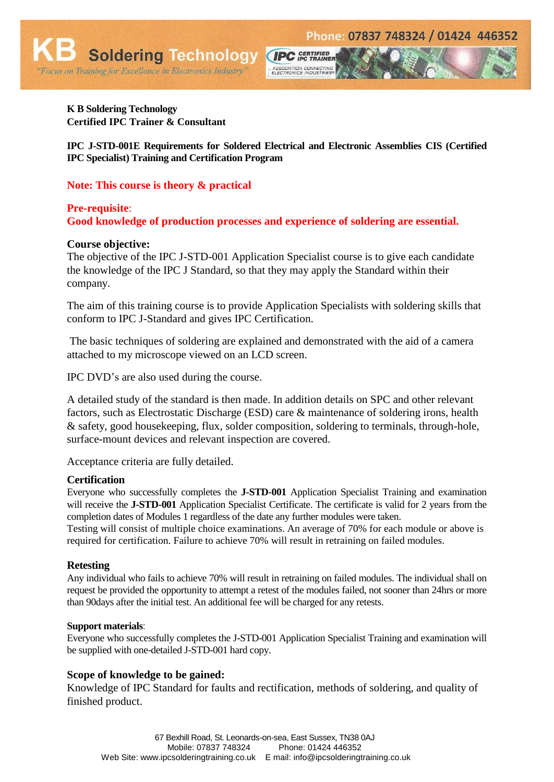

"Focus on Training for Excellence in Electronics Industry"

**Soldering Technology** 

**IPC J-STD-001E Requirements for Soldered Electrical and Electronic Assemblies CIS (Certified IPC Specialist) Training and Certification Program** 

**CIPC** GERTIFIED

ASSOCIATION CONNECTING<br>ELECTRONICS INDUSTRIES®

# **Note: This course is theory & practical**

# **Pre-requisite**: **Good knowledge of production processes and experience of soldering are essential.**

## **Course objective:**

The objective of the IPC J-STD-001 Application Specialist course is to give each candidate the knowledge of the IPC J Standard, so that they may apply the Standard within their company.

The aim of this training course is to provide Application Specialists with soldering skills that conform to IPC J-Standard and gives IPC Certification.

The basic techniques of soldering are explained and demonstrated with the aid of a camera attached to my microscope viewed on an LCD screen.

IPC DVD's are also used during the course.

A detailed study of the standard is then made. In addition details on SPC and other relevant factors, such as Electrostatic Discharge (ESD) care & maintenance of soldering irons, health & safety, good housekeeping, flux, solder composition, soldering to terminals, through-hole, surface-mount devices and relevant inspection are covered.

Acceptance criteria are fully detailed.

### **Certification**

Everyone who successfully completes the **J-STD-001** Application Specialist Training and examination will receive the **J-STD-001** Application Specialist Certificate. The certificate is valid for 2 years from the completion dates of Modules 1 regardless of the date any further modules were taken.

Testing will consist of multiple choice examinations. An average of 70% for each module or above is required for certification. Failure to achieve 70% will result in retraining on failed modules.

### **Retesting**

Any individual who fails to achieve 70% will result in retraining on failed modules. The individual shall on request be provided the opportunity to attempt a retest of the modules failed, not sooner than 24hrs or more than 90days after the initial test. An additional fee will be charged for any retests.

### **Support materials**:

Everyone who successfully completes the J-STD-001 Application Specialist Training and examination will be supplied with one-detailed J-STD-001 hard copy.

## **Scope of knowledge to be gained:**

Knowledge of IPC Standard for faults and rectification, methods of soldering, and quality of finished product.